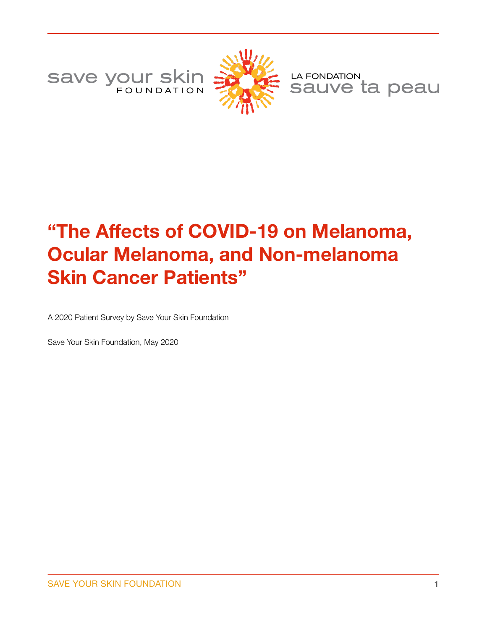Save your skin



LA FONDATION sauve ta peau

# **"The Affects of COVID-19 on Melanoma, Ocular Melanoma, and Non-melanoma Skin Cancer Patients"**

A 2020 Patient Survey by Save Your Skin Foundation

Save Your Skin Foundation, May 2020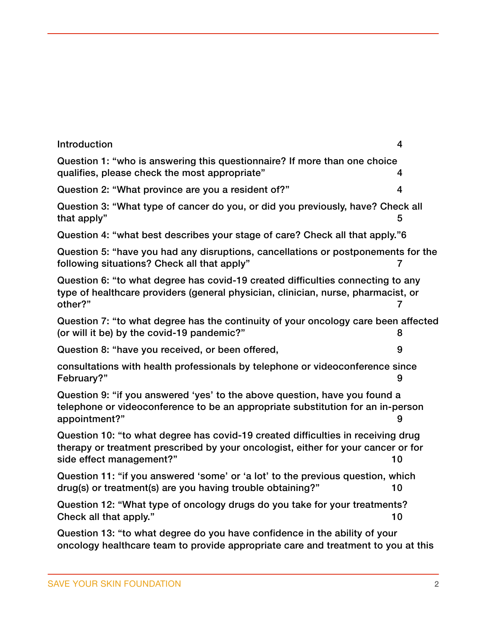| Introduction                                                                                                                                                                                      | 4  |
|---------------------------------------------------------------------------------------------------------------------------------------------------------------------------------------------------|----|
| Question 1: "who is answering this questionnaire? If more than one choice<br>qualifies, please check the most appropriate"                                                                        | 4  |
| Question 2: "What province are you a resident of?"                                                                                                                                                | 4  |
| Question 3: "What type of cancer do you, or did you previously, have? Check all<br>that apply"                                                                                                    | 5  |
| Question 4: "what best describes your stage of care? Check all that apply."6                                                                                                                      |    |
| Question 5: "have you had any disruptions, cancellations or postponements for the<br>following situations? Check all that apply"                                                                  |    |
| Question 6: "to what degree has covid-19 created difficulties connecting to any<br>type of healthcare providers (general physician, clinician, nurse, pharmacist, or<br>other?"                   | 7  |
| Question 7: "to what degree has the continuity of your oncology care been affected<br>(or will it be) by the covid-19 pandemic?"                                                                  |    |
| Question 8: "have you received, or been offered,                                                                                                                                                  | 9  |
| consultations with health professionals by telephone or videoconference since<br>February?"                                                                                                       | 9  |
| Question 9: "if you answered 'yes' to the above question, have you found a<br>telephone or videoconference to be an appropriate substitution for an in-person<br>appointment?"                    | 9  |
| Question 10: "to what degree has covid-19 created difficulties in receiving drug<br>therapy or treatment prescribed by your oncologist, either for your cancer or for<br>side effect management?" | 10 |
| Question 11: "if you answered 'some' or 'a lot' to the previous question, which<br>drug(s) or treatment(s) are you having trouble obtaining?"                                                     | 10 |
| Question 12: "What type of oncology drugs do you take for your treatments?<br>Check all that apply."                                                                                              | 10 |
| Question 13: "to what degree do you have confidence in the ability of your<br>oncology healthcare team to provide appropriate care and treatment to you at this                                   |    |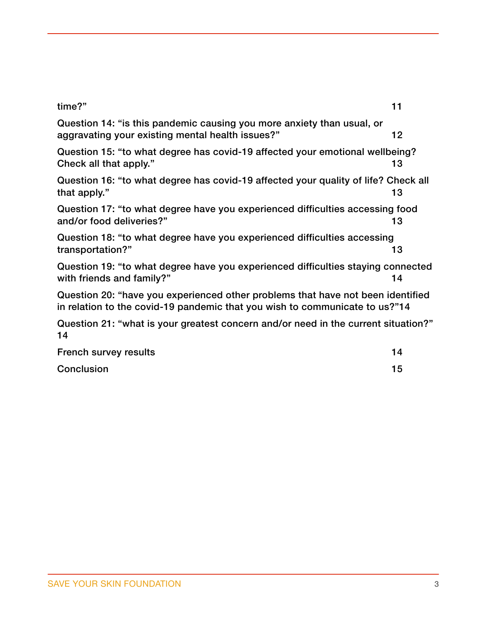# [time?" 11](#page-10-0)  Question 14: "is this pandemic causing you more anxiety than usual, or aggravating your existing mental health issues?" 12 [Question 15: "to what degree has covid-19 affected your emotional wellbeing?](#page-12-0)  Check all that apply." 13 [Question 16: "to what degree has covid-19 affected your quality of life? Check all](#page-12-1)  that apply." and the state of the state of the state of the state of the state of the state of the state of the state of the state of the state of the state of the state of the state of the state of the state of the state [Question 17: "to what degree have you experienced difficulties accessing food](#page-12-2)  and/or food deliveries?" 13 Question 18: "to what degree have you experienced difficulties accessing transportation?" 13 [Question 19: "to what degree have you experienced difficulties staying connected](#page-13-0)  with friends and family?" 14 [Question 20: "have you experienced other problems that have not been identified](#page-13-1)  in relation to the covid-19 pandemic that you wish to communicate to us?" 14 [Question 21: "what is your greatest concern and/or need in the current situation?"](#page-13-2)  14 [French survey results 14](#page-13-3)

| LIGHULL SULVEY TOSURS |  |
|-----------------------|--|
| Conclusion            |  |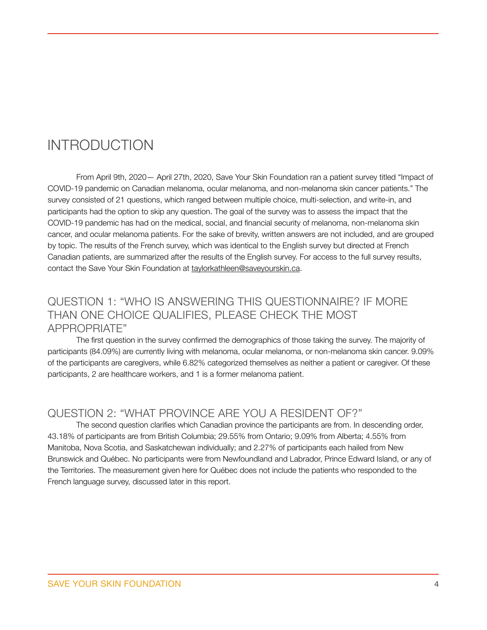# <span id="page-3-0"></span>INTRODUCTION

From April 9th, 2020— April 27th, 2020, Save Your Skin Foundation ran a patient survey titled "Impact of COVID-19 pandemic on Canadian melanoma, ocular melanoma, and non-melanoma skin cancer patients." The survey consisted of 21 questions, which ranged between multiple choice, multi-selection, and write-in, and participants had the option to skip any question. The goal of the survey was to assess the impact that the COVID-19 pandemic has had on the medical, social, and financial security of melanoma, non-melanoma skin cancer, and ocular melanoma patients. For the sake of brevity, written answers are not included, and are grouped by topic. The results of the French survey, which was identical to the English survey but directed at French Canadian patients, are summarized after the results of the English survey. For access to the full survey results, contact the Save Your Skin Foundation at [taylorkathleen@saveyourskin.ca](mailto:info@saveyourskin.ca).

#### <span id="page-3-1"></span>QUESTION 1: "WHO IS ANSWERING THIS QUESTIONNAIRE? IF MORE THAN ONE CHOICE QUALIFIES, PLEASE CHECK THE MOST APPROPRIATE"

The first question in the survey confirmed the demographics of those taking the survey. The majority of participants (84.09%) are currently living with melanoma, ocular melanoma, or non-melanoma skin cancer. 9.09% of the participants are caregivers, while 6.82% categorized themselves as neither a patient or caregiver. Of these participants, 2 are healthcare workers, and 1 is a former melanoma patient.

#### <span id="page-3-2"></span>QUESTION 2: "WHAT PROVINCE ARE YOU A RESIDENT OF?"

The second question clarifies which Canadian province the participants are from. In descending order, 43.18% of participants are from British Columbia; 29.55% from Ontario; 9.09% from Alberta; 4.55% from Manitoba, Nova Scotia, and Saskatchewan individually; and 2.27% of participants each hailed from New Brunswick and Québec. No participants were from Newfoundland and Labrador, Prince Edward Island, or any of the Territories. The measurement given here for Québec does not include the patients who responded to the French language survey, discussed later in this report.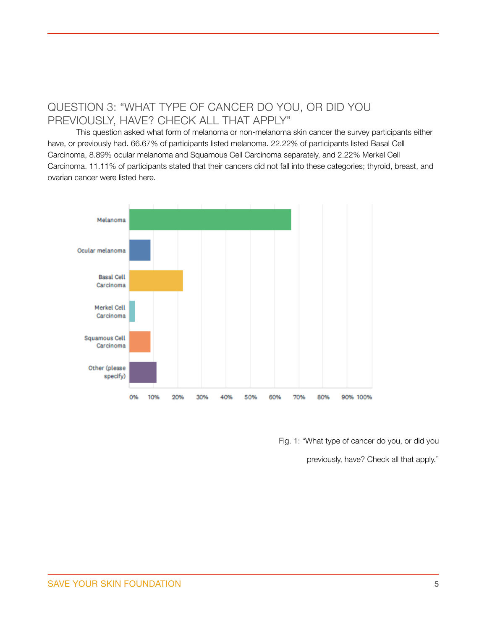## <span id="page-4-0"></span>QUESTION 3: "WHAT TYPE OF CANCER DO YOU, OR DID YOU PREVIOUSLY, HAVE? CHECK ALL THAT APPLY"

This question asked what form of melanoma or non-melanoma skin cancer the survey participants either have, or previously had. 66.67% of participants listed melanoma. 22.22% of participants listed Basal Cell Carcinoma, 8.89% ocular melanoma and Squamous Cell Carcinoma separately, and 2.22% Merkel Cell Carcinoma. 11.11% of participants stated that their cancers did not fall into these categories; thyroid, breast, and ovarian cancer were listed here.



Fig. 1: "What type of cancer do you, or did you

previously, have? Check all that apply."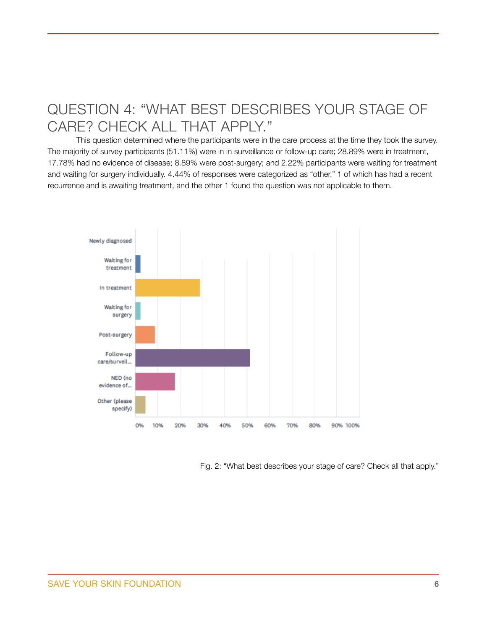# <span id="page-5-0"></span>QUESTION 4: "WHAT BEST DESCRIBES YOUR STAGE OF CARE? CHECK ALL THAT APPLY."

This question determined where the participants were in the care process at the time they took the survey. The majority of survey participants (51.11%) were in in surveillance or follow-up care; 28.89% were in treatment, 17.78% had no evidence of disease; 8.89% were post-surgery; and 2.22% participants were waiting for treatment and waiting for surgery individually. 4.44% of responses were categorized as "other," 1 of which has had a recent recurrence and is awaiting treatment, and the other 1 found the question was not applicable to them.



Fig. 2: "What best describes your stage of care? Check all that apply."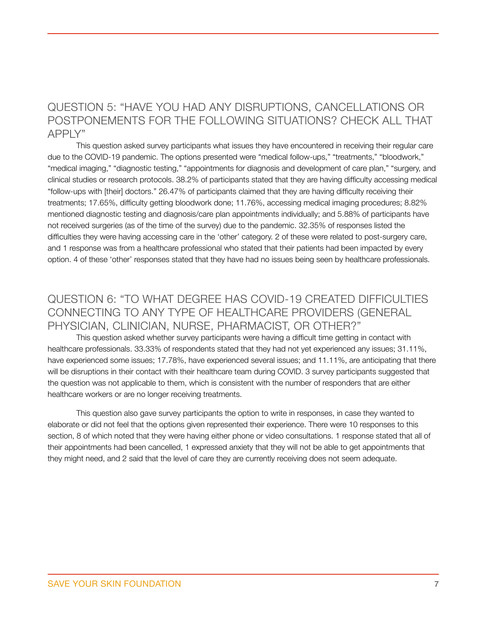#### <span id="page-6-0"></span>QUESTION 5: "HAVE YOU HAD ANY DISRUPTIONS, CANCELLATIONS OR POSTPONEMENTS FOR THE FOLLOWING SITUATIONS? CHECK ALL THAT APPLY"

This question asked survey participants what issues they have encountered in receiving their regular care due to the COVID-19 pandemic. The options presented were "medical follow-ups," "treatments," "bloodwork," "medical imaging," "diagnostic testing," "appointments for diagnosis and development of care plan," "surgery, and clinical studies or research protocols. 38.2% of participants stated that they are having difficulty accessing medical "follow-ups with [their] doctors." 26.47% of participants claimed that they are having difficulty receiving their treatments; 17.65%, difficulty getting bloodwork done; 11.76%, accessing medical imaging procedures; 8.82% mentioned diagnostic testing and diagnosis/care plan appointments individually; and 5.88% of participants have not received surgeries (as of the time of the survey) due to the pandemic. 32.35% of responses listed the difficulties they were having accessing care in the 'other' category. 2 of these were related to post-surgery care, and 1 response was from a healthcare professional who stated that their patients had been impacted by every option. 4 of these 'other' responses stated that they have had no issues being seen by healthcare professionals.

#### <span id="page-6-1"></span>QUESTION 6: "TO WHAT DEGREE HAS COVID-19 CREATED DIFFICULTIES CONNECTING TO ANY TYPE OF HEALTHCARE PROVIDERS (GENERAL PHYSICIAN, CLINICIAN, NURSE, PHARMACIST, OR OTHER?"

This question asked whether survey participants were having a difficult time getting in contact with healthcare professionals. 33.33% of respondents stated that they had not yet experienced any issues; 31.11%, have experienced some issues; 17.78%, have experienced several issues; and 11.11%, are anticipating that there will be disruptions in their contact with their healthcare team during COVID. 3 survey participants suggested that the question was not applicable to them, which is consistent with the number of responders that are either healthcare workers or are no longer receiving treatments.

This question also gave survey participants the option to write in responses, in case they wanted to elaborate or did not feel that the options given represented their experience. There were 10 responses to this section, 8 of which noted that they were having either phone or video consultations. 1 response stated that all of their appointments had been cancelled, 1 expressed anxiety that they will not be able to get appointments that they might need, and 2 said that the level of care they are currently receiving does not seem adequate.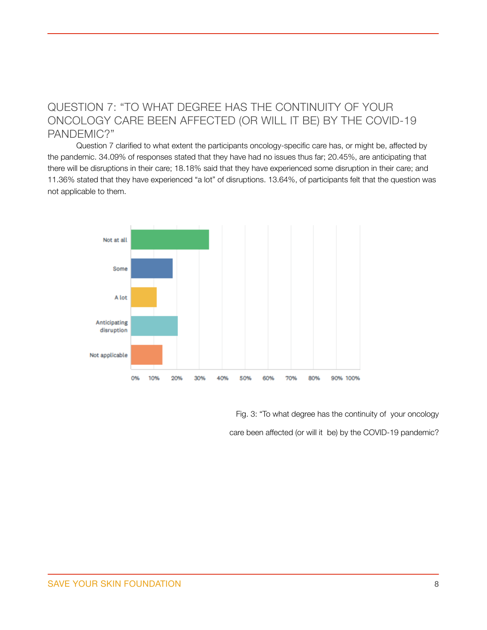### <span id="page-7-0"></span>QUESTION 7: "TO WHAT DEGREE HAS THE CONTINUITY OF YOUR ONCOLOGY CARE BEEN AFFECTED (OR WILL IT BE) BY THE COVID-19 PANDEMIC?"

Question 7 clarified to what extent the participants oncology-specific care has, or might be, affected by the pandemic. 34.09% of responses stated that they have had no issues thus far; 20.45%, are anticipating that there will be disruptions in their care; 18.18% said that they have experienced some disruption in their care; and 11.36% stated that they have experienced "a lot" of disruptions. 13.64%, of participants felt that the question was not applicable to them.



Fig. 3: "To what degree has the continuity of your oncology care been affected (or will it be) by the COVID-19 pandemic?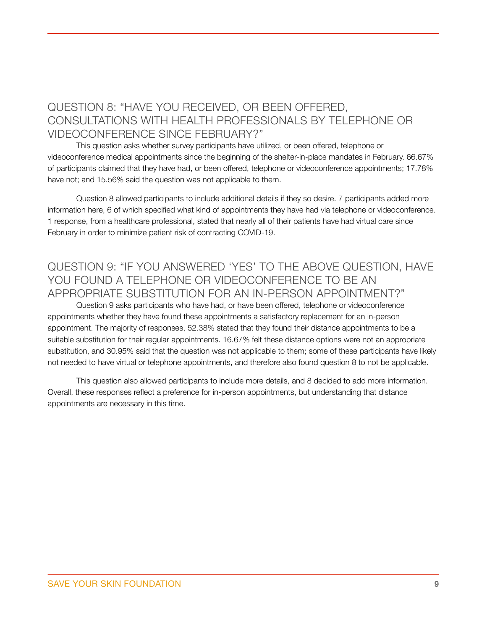# <span id="page-8-1"></span><span id="page-8-0"></span>QUESTION 8: "HAVE YOU RECEIVED, OR BEEN OFFERED, CONSULTATIONS WITH HEALTH PROFESSIONALS BY TELEPHONE OR VIDEOCONFERENCE SINCE FEBRUARY?"

This question asks whether survey participants have utilized, or been offered, telephone or videoconference medical appointments since the beginning of the shelter-in-place mandates in February. 66.67% of participants claimed that they have had, or been offered, telephone or videoconference appointments; 17.78% have not; and 15.56% said the question was not applicable to them.

Question 8 allowed participants to include additional details if they so desire. 7 participants added more information here, 6 of which specified what kind of appointments they have had via telephone or videoconference. 1 response, from a healthcare professional, stated that nearly all of their patients have had virtual care since February in order to minimize patient risk of contracting COVID-19.

#### <span id="page-8-2"></span>QUESTION 9: "IF YOU ANSWERED 'YES' TO THE ABOVE QUESTION, HAVE YOU FOUND A TELEPHONE OR VIDEOCONFERENCE TO BE AN APPROPRIATE SUBSTITUTION FOR AN IN-PERSON APPOINTMENT?"

Question 9 asks participants who have had, or have been offered, telephone or videoconference appointments whether they have found these appointments a satisfactory replacement for an in-person appointment. The majority of responses, 52.38% stated that they found their distance appointments to be a suitable substitution for their regular appointments. 16.67% felt these distance options were not an appropriate substitution, and 30.95% said that the question was not applicable to them; some of these participants have likely not needed to have virtual or telephone appointments, and therefore also found question 8 to not be applicable.

This question also allowed participants to include more details, and 8 decided to add more information. Overall, these responses reflect a preference for in-person appointments, but understanding that distance appointments are necessary in this time.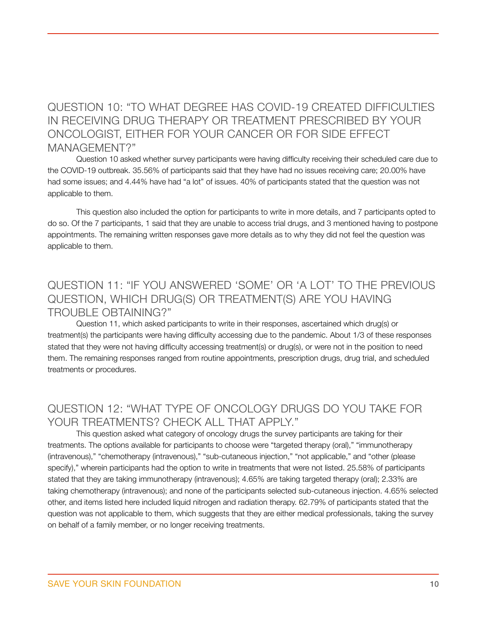#### <span id="page-9-0"></span>QUESTION 10: "TO WHAT DEGREE HAS COVID-19 CREATED DIFFICULTIES IN RECEIVING DRUG THERAPY OR TREATMENT PRESCRIBED BY YOUR ONCOLOGIST, EITHER FOR YOUR CANCER OR FOR SIDE EFFECT MANAGEMENT?"

Question 10 asked whether survey participants were having difficulty receiving their scheduled care due to the COVID-19 outbreak. 35.56% of participants said that they have had no issues receiving care; 20.00% have had some issues; and 4.44% have had "a lot" of issues. 40% of participants stated that the question was not applicable to them.

This question also included the option for participants to write in more details, and 7 participants opted to do so. Of the 7 participants, 1 said that they are unable to access trial drugs, and 3 mentioned having to postpone appointments. The remaining written responses gave more details as to why they did not feel the question was applicable to them.

### <span id="page-9-1"></span>QUESTION 11: "IF YOU ANSWERED 'SOME' OR 'A LOT' TO THE PREVIOUS QUESTION, WHICH DRUG(S) OR TREATMENT(S) ARE YOU HAVING TROUBLE OBTAINING?"

Question 11, which asked participants to write in their responses, ascertained which drug(s) or treatment(s) the participants were having difficulty accessing due to the pandemic. About 1/3 of these responses stated that they were not having difficulty accessing treatment(s) or drug(s), or were not in the position to need them. The remaining responses ranged from routine appointments, prescription drugs, drug trial, and scheduled treatments or procedures.

#### <span id="page-9-2"></span>QUESTION 12: "WHAT TYPE OF ONCOLOGY DRUGS DO YOU TAKE FOR YOUR TREATMENTS? CHECK ALL THAT APPLY."

This question asked what category of oncology drugs the survey participants are taking for their treatments. The options available for participants to choose were "targeted therapy (oral)," "immunotherapy (intravenous)," "chemotherapy (intravenous)," "sub-cutaneous injection," "not applicable," and "other (please specify)," wherein participants had the option to write in treatments that were not listed. 25.58% of participants stated that they are taking immunotherapy (intravenous); 4.65% are taking targeted therapy (oral); 2.33% are taking chemotherapy (intravenous); and none of the participants selected sub-cutaneous injection. 4.65% selected other, and items listed here included liquid nitrogen and radiation therapy. 62.79% of participants stated that the question was not applicable to them, which suggests that they are either medical professionals, taking the survey on behalf of a family member, or no longer receiving treatments.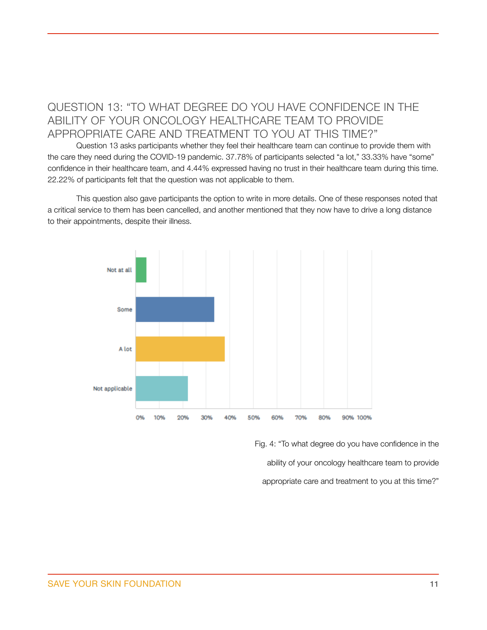# <span id="page-10-0"></span>QUESTION 13: "TO WHAT DEGREE DO YOU HAVE CONFIDENCE IN THE ABILITY OF YOUR ONCOLOGY HEALTHCARE TEAM TO PROVIDE APPROPRIATE CARE AND TREATMENT TO YOU AT THIS TIME?"

Question 13 asks participants whether they feel their healthcare team can continue to provide them with the care they need during the COVID-19 pandemic. 37.78% of participants selected "a lot," 33.33% have "some" confidence in their healthcare team, and 4.44% expressed having no trust in their healthcare team during this time. 22.22% of participants felt that the question was not applicable to them.

This question also gave participants the option to write in more details. One of these responses noted that a critical service to them has been cancelled, and another mentioned that they now have to drive a long distance to their appointments, despite their illness.



Fig. 4: "To what degree do you have confidence in the ability of your oncology healthcare team to provide appropriate care and treatment to you at this time?"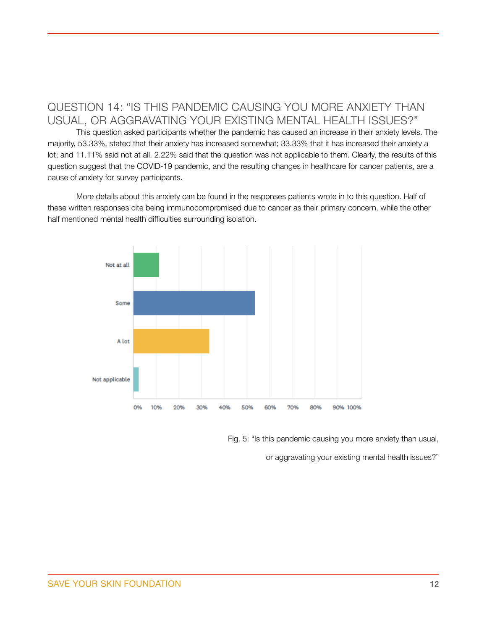# <span id="page-11-0"></span>QUESTION 14: "IS THIS PANDEMIC CAUSING YOU MORE ANXIETY THAN USUAL, OR AGGRAVATING YOUR EXISTING MENTAL HEALTH ISSUES?"

This question asked participants whether the pandemic has caused an increase in their anxiety levels. The majority, 53.33%, stated that their anxiety has increased somewhat; 33.33% that it has increased their anxiety a lot; and 11.11% said not at all. 2.22% said that the question was not applicable to them. Clearly, the results of this question suggest that the COVID-19 pandemic, and the resulting changes in healthcare for cancer patients, are a cause of anxiety for survey participants.

More details about this anxiety can be found in the responses patients wrote in to this question. Half of these written responses cite being immunocompromised due to cancer as their primary concern, while the other half mentioned mental health difficulties surrounding isolation.



Fig. 5: "Is this pandemic causing you more anxiety than usual,

or aggravating your existing mental health issues?"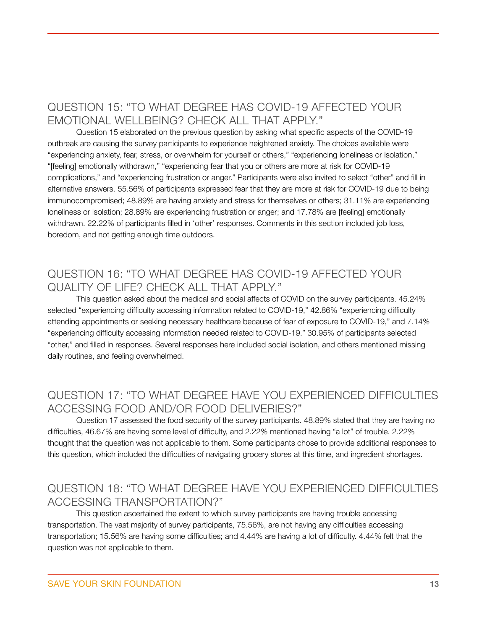# <span id="page-12-0"></span>QUESTION 15: "TO WHAT DEGREE HAS COVID-19 AFFECTED YOUR EMOTIONAL WELLBEING? CHECK ALL THAT APPLY."

Question 15 elaborated on the previous question by asking what specific aspects of the COVID-19 outbreak are causing the survey participants to experience heightened anxiety. The choices available were "experiencing anxiety, fear, stress, or overwhelm for yourself or others," "experiencing loneliness or isolation," "[feeling] emotionally withdrawn," "experiencing fear that you or others are more at risk for COVID-19 complications," and "experiencing frustration or anger." Participants were also invited to select "other" and fill in alternative answers. 55.56% of participants expressed fear that they are more at risk for COVID-19 due to being immunocompromised; 48.89% are having anxiety and stress for themselves or others; 31.11% are experiencing loneliness or isolation; 28.89% are experiencing frustration or anger; and 17.78% are [feeling] emotionally withdrawn. 22.22% of participants filled in 'other' responses. Comments in this section included job loss, boredom, and not getting enough time outdoors.

#### <span id="page-12-1"></span>QUESTION 16: "TO WHAT DEGREE HAS COVID-19 AFFECTED YOUR QUALITY OF LIFE? CHECK ALL THAT APPLY."

This question asked about the medical and social affects of COVID on the survey participants. 45.24% selected "experiencing difficulty accessing information related to COVID-19," 42.86% "experiencing difficulty attending appointments or seeking necessary healthcare because of fear of exposure to COVID-19," and 7.14% "experiencing difficulty accessing information needed related to COVID-19." 30.95% of participants selected "other," and filled in responses. Several responses here included social isolation, and others mentioned missing daily routines, and feeling overwhelmed.

#### <span id="page-12-2"></span>QUESTION 17: "TO WHAT DEGREE HAVE YOU EXPERIENCED DIFFICULTIES ACCESSING FOOD AND/OR FOOD DELIVERIES?"

Question 17 assessed the food security of the survey participants. 48.89% stated that they are having no difficulties, 46.67% are having some level of difficulty, and 2.22% mentioned having "a lot" of trouble. 2.22% thought that the question was not applicable to them. Some participants chose to provide additional responses to this question, which included the difficulties of navigating grocery stores at this time, and ingredient shortages.

#### <span id="page-12-3"></span>QUESTION 18: "TO WHAT DEGREE HAVE YOU EXPERIENCED DIFFICULTIES ACCESSING TRANSPORTATION?"

This question ascertained the extent to which survey participants are having trouble accessing transportation. The vast majority of survey participants, 75.56%, are not having any difficulties accessing transportation; 15.56% are having some difficulties; and 4.44% are having a lot of difficulty. 4.44% felt that the question was not applicable to them.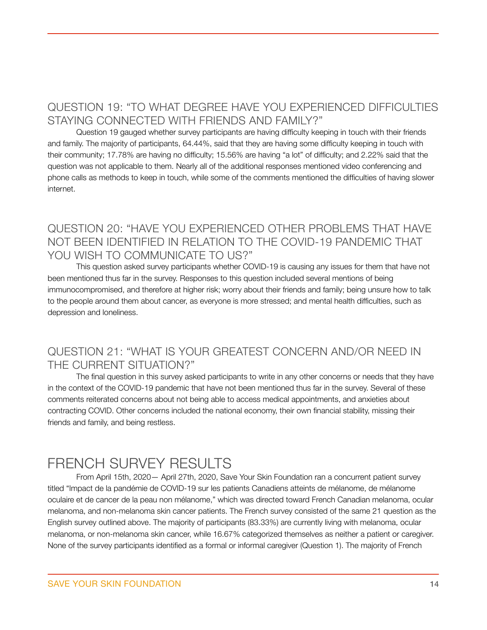## <span id="page-13-0"></span>QUESTION 19: "TO WHAT DEGREE HAVE YOU EXPERIENCED DIFFICULTIES STAYING CONNECTED WITH FRIENDS AND FAMILY?"

Question 19 gauged whether survey participants are having difficulty keeping in touch with their friends and family. The majority of participants, 64.44%, said that they are having some difficulty keeping in touch with their community; 17.78% are having no difficulty; 15.56% are having "a lot" of difficulty; and 2.22% said that the question was not applicable to them. Nearly all of the additional responses mentioned video conferencing and phone calls as methods to keep in touch, while some of the comments mentioned the difficulties of having slower internet.

### <span id="page-13-1"></span>QUESTION 20: "HAVE YOU EXPERIENCED OTHER PROBLEMS THAT HAVE NOT BEEN IDENTIFIED IN RELATION TO THE COVID-19 PANDEMIC THAT YOU WISH TO COMMUNICATE TO US?"

This question asked survey participants whether COVID-19 is causing any issues for them that have not been mentioned thus far in the survey. Responses to this question included several mentions of being immunocompromised, and therefore at higher risk; worry about their friends and family; being unsure how to talk to the people around them about cancer, as everyone is more stressed; and mental health difficulties, such as depression and loneliness.

#### <span id="page-13-2"></span>QUESTION 21: "WHAT IS YOUR GREATEST CONCERN AND/OR NEED IN THE CURRENT SITUATION?"

The final question in this survey asked participants to write in any other concerns or needs that they have in the context of the COVID-19 pandemic that have not been mentioned thus far in the survey. Several of these comments reiterated concerns about not being able to access medical appointments, and anxieties about contracting COVID. Other concerns included the national economy, their own financial stability, missing their friends and family, and being restless.

# <span id="page-13-3"></span>FRENCH SURVEY RESULTS

From April 15th, 2020— April 27th, 2020, Save Your Skin Foundation ran a concurrent patient survey titled "Impact de la pandémie de COVID-19 sur les patients Canadiens atteints de mélanome, de mélanome oculaire et de cancer de la peau non mélanome," which was directed toward French Canadian melanoma, ocular melanoma, and non-melanoma skin cancer patients. The French survey consisted of the same 21 question as the English survey outlined above. The majority of participants (83.33%) are currently living with melanoma, ocular melanoma, or non-melanoma skin cancer, while 16.67% categorized themselves as neither a patient or caregiver. None of the survey participants identified as a formal or informal caregiver (Question 1). The majority of French